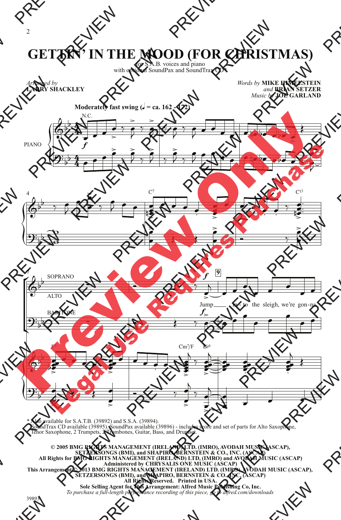## **GETTIN' IN THE MOOD (FOR CHRISTMAS)**

for S.A.B. voices and piano with optional SoundPax and SoundTrax CD\*

*Arranged by* **LARRY SHACKLEY** *Words by* **MIKE HIMELSTEIN** *and* **BRIAN SETZER** *Music by* **JOE GARLAND**



\* Also available for S.A.T.B. (39892) and S.S.A. (39894). SoundTrax CD available (39895). SoundPax available (39896) - includes score and set of parts for Alto Saxophone, Tenor Saxophone, 2 Trumpets, 2 Trombones, Guitar, Bass, and Drumset.

 **© 2005 BMG RIGHTS MANAGEMENT (IRELAND) LTD. (IMRO), AVODAH MUSIC (ASCAP), SETZERSONGS (BMI), and SHAPIRO, BERNSTEIN & CO., INC. (ASCAP) All Rights for BMG RIGHTS MANAGEMENT (IRELAND) LTD, (IMRO) and AVODAH MUSIC (ASCAP) Administered by CHRYSALIS ONE MUSIC (ASCAP) This Arrangement © 2013 BMG RIGHTS MANAGEMENT (IRELAND) LTD. (IMRO), AVODAH MUSIC (ASCAP), SETZERSONGS (BMI), and SHAPIRO, BERNSTEIN & CO., INC. (ASCAP) All Rights Reserved. Printed in USA. Sole Selling Agent for This Arrangement: Alfred Music Publishing Co, Inc.** *To purchase a full-length performance recording of this piece, go to alfred.com/downloads*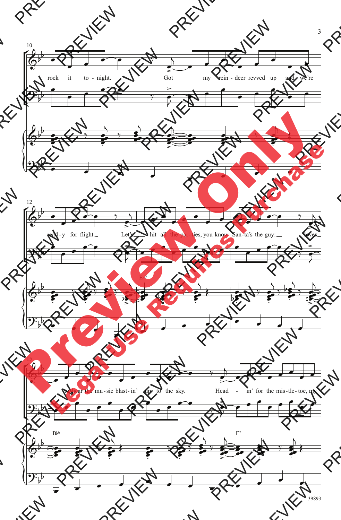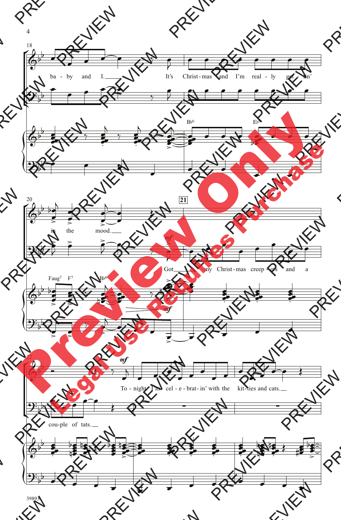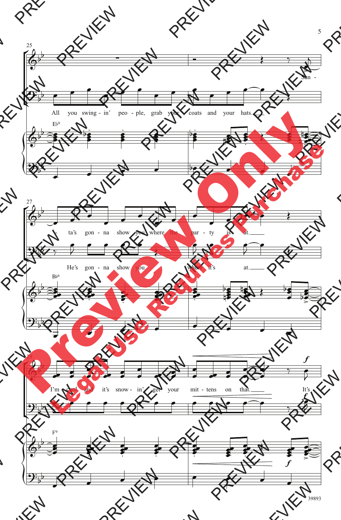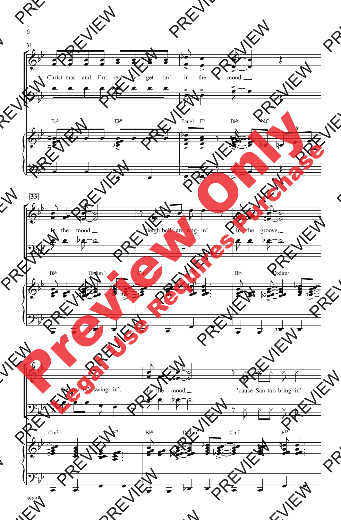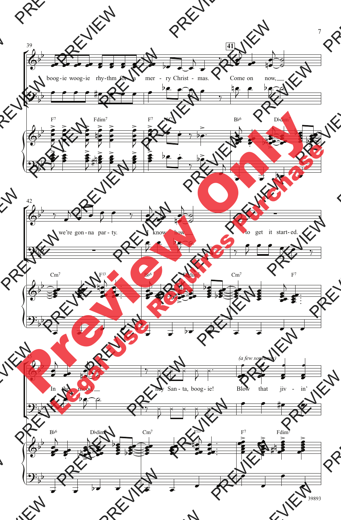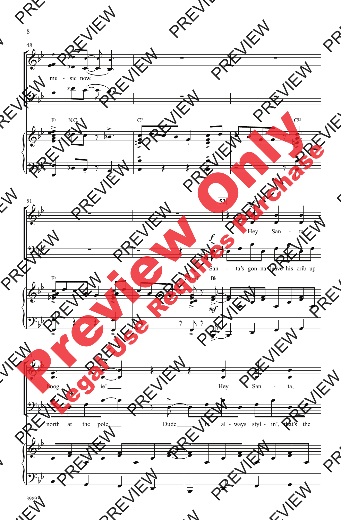

39893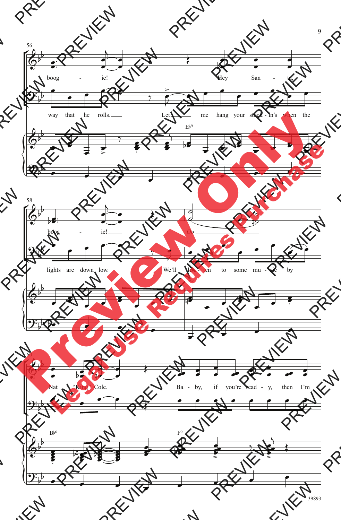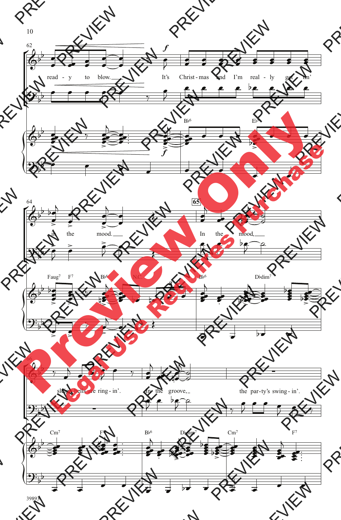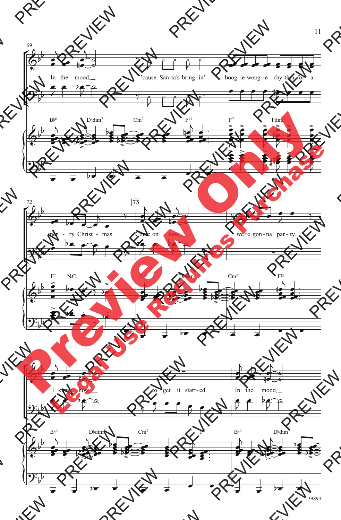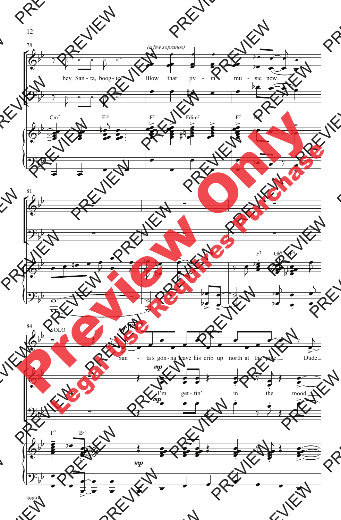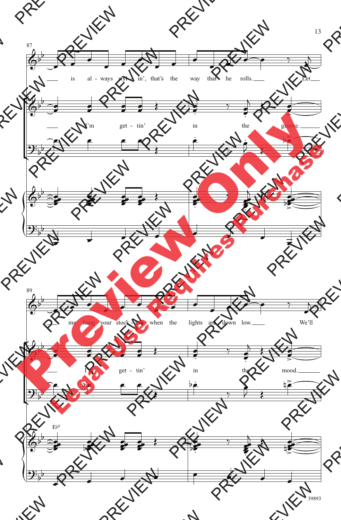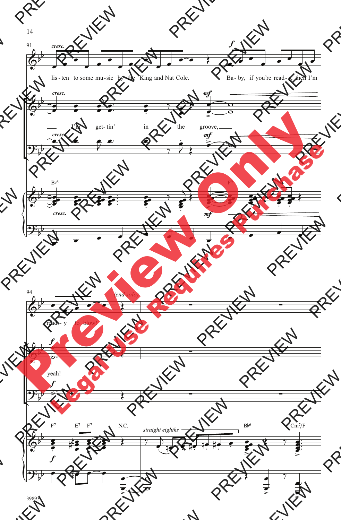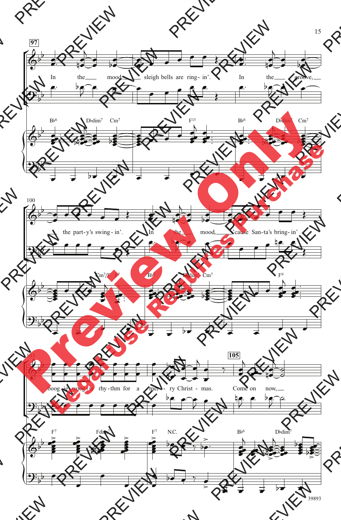